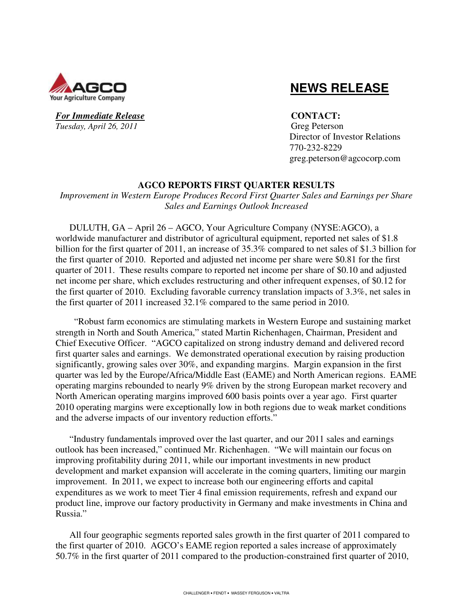

### For Immediate Release **CONTACT**: *Tuesday, April 26, 2011* Greg Peterson

# **NEWS RELEASE**

 Director of Investor Relations 770-232-8229 greg.peterson@agcocorp.com

# **AGCO REPORTS FIRST QUARTER RESULTS**

*Improvement in Western Europe Produces Record First Quarter Sales and Earnings per Share Sales and Earnings Outlook Increased* 

DULUTH, GA – April 26 – AGCO, Your Agriculture Company (NYSE:AGCO), a worldwide manufacturer and distributor of agricultural equipment, reported net sales of \$1.8 billion for the first quarter of 2011, an increase of 35.3% compared to net sales of \$1.3 billion for the first quarter of 2010. Reported and adjusted net income per share were \$0.81 for the first quarter of 2011. These results compare to reported net income per share of \$0.10 and adjusted net income per share, which excludes restructuring and other infrequent expenses, of \$0.12 for the first quarter of 2010. Excluding favorable currency translation impacts of 3.3%, net sales in the first quarter of 2011 increased 32.1% compared to the same period in 2010.

 "Robust farm economics are stimulating markets in Western Europe and sustaining market strength in North and South America," stated Martin Richenhagen, Chairman, President and Chief Executive Officer. "AGCO capitalized on strong industry demand and delivered record first quarter sales and earnings. We demonstrated operational execution by raising production significantly, growing sales over 30%, and expanding margins. Margin expansion in the first quarter was led by the Europe/Africa/Middle East (EAME) and North American regions. EAME operating margins rebounded to nearly 9% driven by the strong European market recovery and North American operating margins improved 600 basis points over a year ago. First quarter 2010 operating margins were exceptionally low in both regions due to weak market conditions and the adverse impacts of our inventory reduction efforts."

"Industry fundamentals improved over the last quarter, and our 2011 sales and earnings outlook has been increased," continued Mr. Richenhagen. "We will maintain our focus on improving profitability during 2011, while our important investments in new product development and market expansion will accelerate in the coming quarters, limiting our margin improvement. In 2011, we expect to increase both our engineering efforts and capital expenditures as we work to meet Tier 4 final emission requirements, refresh and expand our product line, improve our factory productivity in Germany and make investments in China and Russia."

All four geographic segments reported sales growth in the first quarter of 2011 compared to the first quarter of 2010. AGCO's EAME region reported a sales increase of approximately 50.7% in the first quarter of 2011 compared to the production-constrained first quarter of 2010,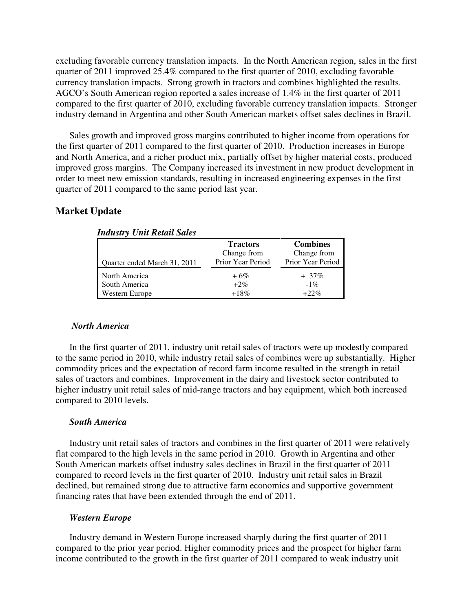excluding favorable currency translation impacts. In the North American region, sales in the first quarter of 2011 improved 25.4% compared to the first quarter of 2010, excluding favorable currency translation impacts. Strong growth in tractors and combines highlighted the results. AGCO's South American region reported a sales increase of 1.4% in the first quarter of 2011 compared to the first quarter of 2010, excluding favorable currency translation impacts. Stronger industry demand in Argentina and other South American markets offset sales declines in Brazil.

Sales growth and improved gross margins contributed to higher income from operations for the first quarter of 2011 compared to the first quarter of 2010. Production increases in Europe and North America, and a richer product mix, partially offset by higher material costs, produced improved gross margins. The Company increased its investment in new product development in order to meet new emission standards, resulting in increased engineering expenses in the first quarter of 2011 compared to the same period last year.

### **Market Update**

|                              | <b>Tractors</b><br>Change from | <b>Combines</b><br>Change from |
|------------------------------|--------------------------------|--------------------------------|
| Quarter ended March 31, 2011 | Prior Year Period              | Prior Year Period              |
| North America                | $+6\%$                         | $+37%$                         |
| South America                | $+2%$                          | $-1\%$                         |
| Western Europe               | $+18\%$                        | $+22%$                         |

*Industry Unit Retail Sales* 

#### *North America*

In the first quarter of 2011, industry unit retail sales of tractors were up modestly compared to the same period in 2010, while industry retail sales of combines were up substantially. Higher commodity prices and the expectation of record farm income resulted in the strength in retail sales of tractors and combines. Improvement in the dairy and livestock sector contributed to higher industry unit retail sales of mid-range tractors and hay equipment, which both increased compared to 2010 levels.

### *South America*

Industry unit retail sales of tractors and combines in the first quarter of 2011 were relatively flat compared to the high levels in the same period in 2010. Growth in Argentina and other South American markets offset industry sales declines in Brazil in the first quarter of 2011 compared to record levels in the first quarter of 2010. Industry unit retail sales in Brazil declined, but remained strong due to attractive farm economics and supportive government financing rates that have been extended through the end of 2011.

#### *Western Europe*

Industry demand in Western Europe increased sharply during the first quarter of 2011 compared to the prior year period. Higher commodity prices and the prospect for higher farm income contributed to the growth in the first quarter of 2011 compared to weak industry unit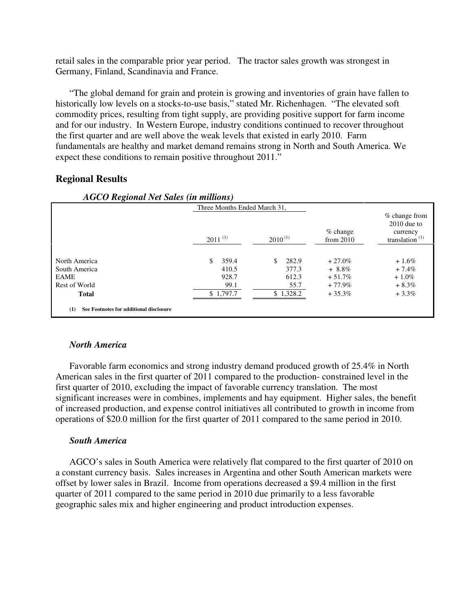retail sales in the comparable prior year period. The tractor sales growth was strongest in Germany, Finland, Scandinavia and France.

"The global demand for grain and protein is growing and inventories of grain have fallen to historically low levels on a stocks-to-use basis," stated Mr. Richenhagen. "The elevated soft commodity prices, resulting from tight supply, are providing positive support for farm income and for our industry. In Western Europe, industry conditions continued to recover throughout the first quarter and are well above the weak levels that existed in early 2010. Farm fundamentals are healthy and market demand remains strong in North and South America. We expect these conditions to remain positive throughout 2011."

### **Regional Results**

| AOCO Regional ivel sales (in multions)         | Three Months Ended March 31, |              |                           |                                                                   |
|------------------------------------------------|------------------------------|--------------|---------------------------|-------------------------------------------------------------------|
|                                                | $2011^{(1)}$                 | $2010^{(1)}$ | $%$ change<br>from $2010$ | $%$ change from<br>$2010$ due to<br>currency<br>translation $(1)$ |
|                                                |                              |              |                           |                                                                   |
| North America                                  | 359.4<br>\$.                 | 282.9<br>\$  | $+27.0\%$                 | $+1.6\%$                                                          |
| South America                                  | 410.5                        | 377.3        | $+8.8\%$                  | $+7.4\%$                                                          |
| <b>EAME</b>                                    | 928.7                        | 612.3        | $+51.7%$                  | $+1.0\%$                                                          |
| Rest of World                                  | 99.1                         | 55.7         | $+77.9%$                  | $+8.3\%$                                                          |
| <b>Total</b>                                   | \$1,797.7                    | \$1,328.2    | $+35.3%$                  | $+3.3\%$                                                          |
|                                                |                              |              |                           |                                                                   |
| See Footnotes for additional disclosure<br>(1) |                              |              |                           |                                                                   |

### *AGCO Regional Net Sales (in millions)*

#### *North America*

Favorable farm economics and strong industry demand produced growth of 25.4% in North American sales in the first quarter of 2011 compared to the production- constrained level in the first quarter of 2010, excluding the impact of favorable currency translation. The most significant increases were in combines, implements and hay equipment. Higher sales, the benefit of increased production, and expense control initiatives all contributed to growth in income from operations of \$20.0 million for the first quarter of 2011 compared to the same period in 2010.

#### *South America*

AGCO's sales in South America were relatively flat compared to the first quarter of 2010 on a constant currency basis. Sales increases in Argentina and other South American markets were offset by lower sales in Brazil. Income from operations decreased a \$9.4 million in the first quarter of 2011 compared to the same period in 2010 due primarily to a less favorable geographic sales mix and higher engineering and product introduction expenses.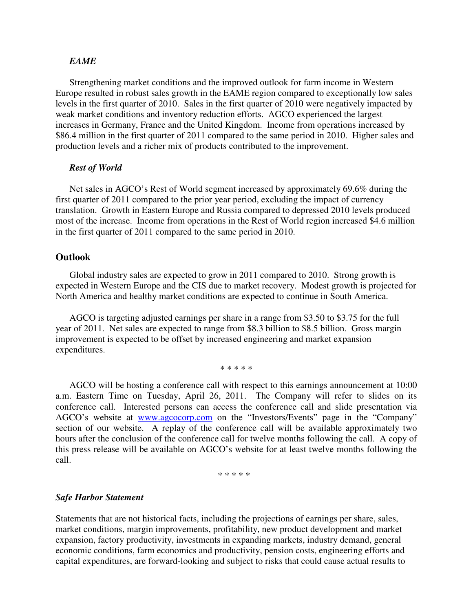#### *EAME*

Strengthening market conditions and the improved outlook for farm income in Western Europe resulted in robust sales growth in the EAME region compared to exceptionally low sales levels in the first quarter of 2010. Sales in the first quarter of 2010 were negatively impacted by weak market conditions and inventory reduction efforts. AGCO experienced the largest increases in Germany, France and the United Kingdom. Income from operations increased by \$86.4 million in the first quarter of 2011 compared to the same period in 2010. Higher sales and production levels and a richer mix of products contributed to the improvement.

#### *Rest of World*

Net sales in AGCO's Rest of World segment increased by approximately 69.6% during the first quarter of 2011 compared to the prior year period, excluding the impact of currency translation. Growth in Eastern Europe and Russia compared to depressed 2010 levels produced most of the increase. Income from operations in the Rest of World region increased \$4.6 million in the first quarter of 2011 compared to the same period in 2010.

#### **Outlook**

Global industry sales are expected to grow in 2011 compared to 2010. Strong growth is expected in Western Europe and the CIS due to market recovery. Modest growth is projected for North America and healthy market conditions are expected to continue in South America.

AGCO is targeting adjusted earnings per share in a range from \$3.50 to \$3.75 for the full year of 2011. Net sales are expected to range from \$8.3 billion to \$8.5 billion. Gross margin improvement is expected to be offset by increased engineering and market expansion expenditures.

\* \* \* \* \*

AGCO will be hosting a conference call with respect to this earnings announcement at 10:00 a.m. Eastern Time on Tuesday, April 26, 2011. The Company will refer to slides on its conference call. Interested persons can access the conference call and slide presentation via AGCO's website at www.agcocorp.com on the "Investors/Events" page in the "Company" section of our website. A replay of the conference call will be available approximately two hours after the conclusion of the conference call for twelve months following the call. A copy of this press release will be available on AGCO's website for at least twelve months following the call.

\* \* \* \* \*

#### *Safe Harbor Statement*

Statements that are not historical facts, including the projections of earnings per share, sales, market conditions, margin improvements, profitability, new product development and market expansion, factory productivity, investments in expanding markets, industry demand, general economic conditions, farm economics and productivity, pension costs, engineering efforts and capital expenditures, are forward-looking and subject to risks that could cause actual results to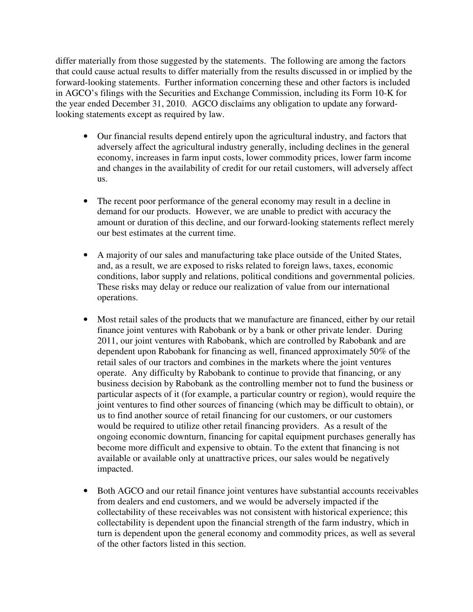differ materially from those suggested by the statements. The following are among the factors that could cause actual results to differ materially from the results discussed in or implied by the forward-looking statements. Further information concerning these and other factors is included in AGCO's filings with the Securities and Exchange Commission, including its Form 10-K for the year ended December 31, 2010. AGCO disclaims any obligation to update any forwardlooking statements except as required by law.

- Our financial results depend entirely upon the agricultural industry, and factors that adversely affect the agricultural industry generally, including declines in the general economy, increases in farm input costs, lower commodity prices, lower farm income and changes in the availability of credit for our retail customers, will adversely affect us.
- The recent poor performance of the general economy may result in a decline in demand for our products. However, we are unable to predict with accuracy the amount or duration of this decline, and our forward-looking statements reflect merely our best estimates at the current time.
- A majority of our sales and manufacturing take place outside of the United States, and, as a result, we are exposed to risks related to foreign laws, taxes, economic conditions, labor supply and relations, political conditions and governmental policies. These risks may delay or reduce our realization of value from our international operations.
- Most retail sales of the products that we manufacture are financed, either by our retail finance joint ventures with Rabobank or by a bank or other private lender. During 2011, our joint ventures with Rabobank, which are controlled by Rabobank and are dependent upon Rabobank for financing as well, financed approximately 50% of the retail sales of our tractors and combines in the markets where the joint ventures operate. Any difficulty by Rabobank to continue to provide that financing, or any business decision by Rabobank as the controlling member not to fund the business or particular aspects of it (for example, a particular country or region), would require the joint ventures to find other sources of financing (which may be difficult to obtain), or us to find another source of retail financing for our customers, or our customers would be required to utilize other retail financing providers. As a result of the ongoing economic downturn, financing for capital equipment purchases generally has become more difficult and expensive to obtain. To the extent that financing is not available or available only at unattractive prices, our sales would be negatively impacted.
- Both AGCO and our retail finance joint ventures have substantial accounts receivables from dealers and end customers, and we would be adversely impacted if the collectability of these receivables was not consistent with historical experience; this collectability is dependent upon the financial strength of the farm industry, which in turn is dependent upon the general economy and commodity prices, as well as several of the other factors listed in this section.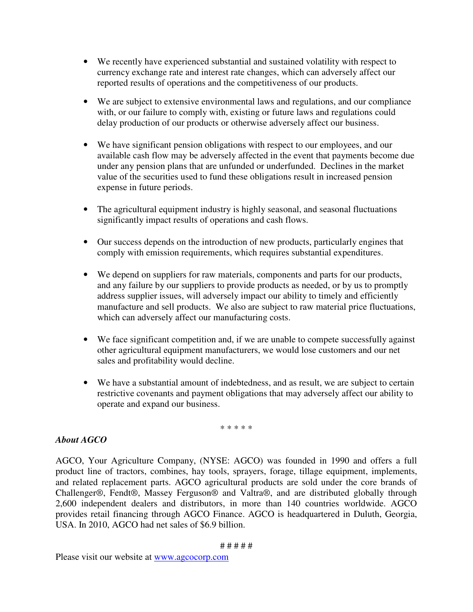- We recently have experienced substantial and sustained volatility with respect to currency exchange rate and interest rate changes, which can adversely affect our reported results of operations and the competitiveness of our products.
- We are subject to extensive environmental laws and regulations, and our compliance with, or our failure to comply with, existing or future laws and regulations could delay production of our products or otherwise adversely affect our business.
- We have significant pension obligations with respect to our employees, and our available cash flow may be adversely affected in the event that payments become due under any pension plans that are unfunded or underfunded. Declines in the market value of the securities used to fund these obligations result in increased pension expense in future periods.
- The agricultural equipment industry is highly seasonal, and seasonal fluctuations significantly impact results of operations and cash flows.
- Our success depends on the introduction of new products, particularly engines that comply with emission requirements, which requires substantial expenditures.
- We depend on suppliers for raw materials, components and parts for our products, and any failure by our suppliers to provide products as needed, or by us to promptly address supplier issues, will adversely impact our ability to timely and efficiently manufacture and sell products. We also are subject to raw material price fluctuations, which can adversely affect our manufacturing costs.
- We face significant competition and, if we are unable to compete successfully against other agricultural equipment manufacturers, we would lose customers and our net sales and profitability would decline.
- We have a substantial amount of indebtedness, and as result, we are subject to certain restrictive covenants and payment obligations that may adversely affect our ability to operate and expand our business.

\* \* \* \* \*

# *About AGCO*

AGCO, Your Agriculture Company, (NYSE: AGCO) was founded in 1990 and offers a full product line of tractors, combines, hay tools, sprayers, forage, tillage equipment, implements, and related replacement parts. AGCO agricultural products are sold under the core brands of Challenger®, Fendt®, Massey Ferguson® and Valtra®, and are distributed globally through 2,600 independent dealers and distributors, in more than 140 countries worldwide. AGCO provides retail financing through AGCO Finance. AGCO is headquartered in Duluth, Georgia, USA. In 2010, AGCO had net sales of \$6.9 billion.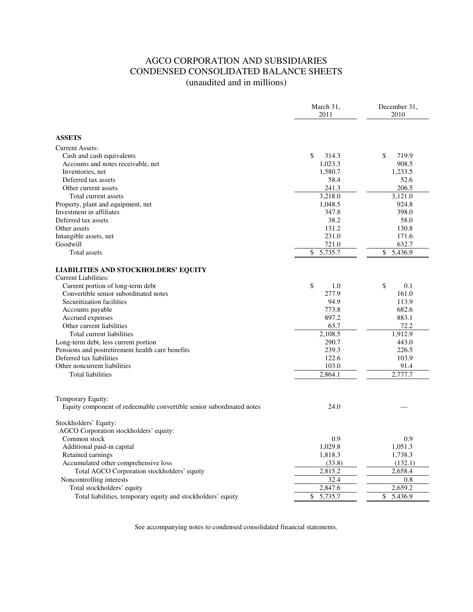# AGCO CORPORATION AND SUBSIDIARIES CONDENSED CONSOLIDATED BALANCE SHEETS (unaudited and in millions)

|                                                                      | March 31,<br>2011 | December 31,<br>2010 |
|----------------------------------------------------------------------|-------------------|----------------------|
|                                                                      |                   |                      |
| <b>ASSETS</b>                                                        |                   |                      |
| <b>Current Assets:</b>                                               |                   |                      |
| Cash and cash equivalents                                            | \$<br>314.3       | \$<br>719.9          |
| Accounts and notes receivable, net                                   | 1.023.3           | 908.5                |
| Inventories, net                                                     | 1,580.7           | 1,233.5              |
| Deferred tax assets                                                  | 58.4              | 52.6                 |
| Other current assets                                                 | 241.3             | 206.5                |
| Total current assets                                                 | 3,218.0           | 3,121.0              |
| Property, plant and equipment, net                                   | 1,048.5           | 924.8                |
| Investment in affiliates                                             | 347.8             | 398.0                |
| Deferred tax assets                                                  | 38.2              | 58.0                 |
| Other assets                                                         | 131.2             | 130.8                |
| Intangible assets, net                                               | 231.0             | 171.6                |
| Goodwill                                                             | 721.0             | 632.7                |
| Total assets                                                         | \$<br>5,735.7     | \$<br>5,436.9        |
| <b>LIABILITIES AND STOCKHOLDERS' EQUITY</b><br>Current Liabilities:  |                   |                      |
| Current portion of long-term debt                                    | \$<br>1.0         | \$<br>0.1            |
| Convertible senior subordinated notes                                | 277.9             | 161.0                |
| Securitization facilities                                            | 94.9              | 113.9                |
| Accounts payable                                                     | 773.8             | 682.6                |
| Accrued expenses                                                     | 897.2             | 883.1                |
| Other current liabilities                                            | 63.7              | 72.2                 |
| Total current liabilities                                            | 2,108.5           | 1,912.9              |
| Long-term debt, less current portion                                 | 290.7             | 443.0                |
| Pensions and postretirement health care benefits                     | 239.3             | 226.5                |
| Deferred tax liabilities                                             | 122.6             | 103.9                |
| Other noncurrent liabilities                                         | 103.0             | 91.4                 |
| <b>Total liabilities</b>                                             | 2.864.1           | 2,777.7              |
| Temporary Equity:                                                    |                   |                      |
| Equity component of redeemable convertible senior subordinated notes | 24.0              |                      |
| Stockholders' Equity:                                                |                   |                      |
| AGCO Corporation stockholders' equity:                               |                   |                      |
| Common stock                                                         | 0.9               | 0.9                  |
| Additional paid-in capital                                           | 1,029.8           | 1,051.3              |
| Retained earnings                                                    | 1,818.3           | 1,738.3              |
| Accumulated other comprehensive loss                                 | (33.8)            | (132.1)              |
| Total AGCO Corporation stockholders' equity                          | 2,815.2           | 2,658.4              |
| Noncontrolling interests                                             | 32.4              | 0.8                  |
| Total stockholders' equity                                           | 2,847.6           | 2,659.2              |
| Total liabilities, temporary equity and stockholders' equity         | \$<br>5,735.7     | \$<br>5.436.9        |

See accompanying notes to condensed consolidated financial statements.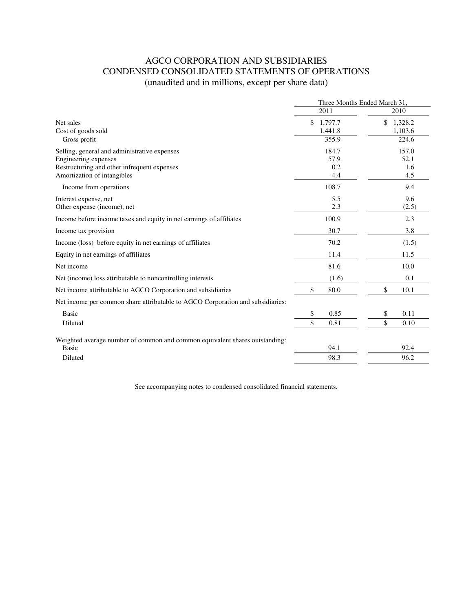# AGCO CORPORATION AND SUBSIDIARIES CONDENSED CONSOLIDATED STATEMENTS OF OPERATIONS (unaudited and in millions, except per share data)

|                                                                                | Three Months Ended March 31, |               |  |
|--------------------------------------------------------------------------------|------------------------------|---------------|--|
|                                                                                | 2011                         | 2010          |  |
| Net sales                                                                      | \$<br>1,797.7                | \$<br>1,328.2 |  |
| Cost of goods sold                                                             | 1,441.8                      | 1,103.6       |  |
| Gross profit                                                                   | 355.9                        | 224.6         |  |
| Selling, general and administrative expenses                                   | 184.7                        | 157.0         |  |
| Engineering expenses                                                           | 57.9                         | 52.1          |  |
| Restructuring and other infrequent expenses                                    | 0.2                          | 1.6           |  |
| Amortization of intangibles                                                    | 4.4                          | 4.5           |  |
| Income from operations                                                         | 108.7                        | 9.4           |  |
| Interest expense, net                                                          | 5.5                          | 9.6           |  |
| Other expense (income), net                                                    | 2.3                          | (2.5)         |  |
| Income before income taxes and equity in net earnings of affiliates            | 100.9                        | 2.3           |  |
| Income tax provision                                                           | 30.7                         | 3.8           |  |
| Income (loss) before equity in net earnings of affiliates                      | 70.2                         | (1.5)         |  |
| Equity in net earnings of affiliates                                           | 11.4                         | 11.5          |  |
| Net income                                                                     | 81.6                         | 10.0          |  |
| Net (income) loss attributable to noncontrolling interests                     | (1.6)                        | 0.1           |  |
| Net income attributable to AGCO Corporation and subsidiaries                   | 80.0<br>\$                   | \$<br>10.1    |  |
| Net income per common share attributable to AGCO Corporation and subsidiaries: |                              |               |  |
| <b>Basic</b>                                                                   | 0.85<br>\$                   | \$<br>0.11    |  |
| Diluted                                                                        | \$<br>0.81                   | \$<br>0.10    |  |
| Weighted average number of common and common equivalent shares outstanding:    |                              |               |  |
| <b>Basic</b>                                                                   | 94.1                         | 92.4          |  |
| Diluted                                                                        | 98.3                         | 96.2          |  |
|                                                                                |                              |               |  |

See accompanying notes to condensed consolidated financial statements.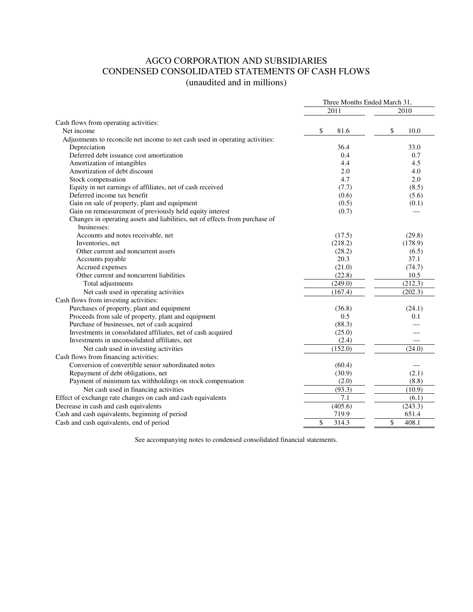# AGCO CORPORATION AND SUBSIDIARIES CONDENSED CONSOLIDATED STATEMENTS OF CASH FLOWS (unaudited and in millions)

| 2011<br>2010<br>Cash flows from operating activities:<br>\$<br>81.6<br>\$<br>Net income<br>10.0<br>Adjustments to reconcile net income to net cash used in operating activities:<br>36.4<br>Depreciation<br>33.0<br>Deferred debt issuance cost amortization<br>0.4<br>0.7<br>Amortization of intangibles<br>4.4<br>4.5<br>Amortization of debt discount<br>2.0<br>4.0<br>Stock compensation<br>4.7<br>2.0<br>Equity in net earnings of affiliates, net of cash received<br>(8.5)<br>(7.7)<br>Deferred income tax benefit<br>(0.6)<br>(5.6)<br>Gain on sale of property, plant and equipment<br>(0.5)<br>(0.1)<br>Gain on remeasurement of previously held equity interest<br>(0.7)<br>Changes in operating assets and liabilities, net of effects from purchase of<br>businesses:<br>Accounts and notes receivable, net<br>(29.8)<br>(17.5)<br>(218.2)<br>(178.9)<br>Inventories, net<br>Other current and noncurrent assets<br>(28.2)<br>(6.5)<br>20.3<br>37.1<br>Accounts payable<br>Accrued expenses<br>(21.0)<br>(74.7)<br>Other current and noncurrent liabilities<br>(22.8)<br>10.5<br>(249.0)<br>(212.3)<br>Total adjustments |                                                              | Three Months Ended March 31, |         |  |
|---------------------------------------------------------------------------------------------------------------------------------------------------------------------------------------------------------------------------------------------------------------------------------------------------------------------------------------------------------------------------------------------------------------------------------------------------------------------------------------------------------------------------------------------------------------------------------------------------------------------------------------------------------------------------------------------------------------------------------------------------------------------------------------------------------------------------------------------------------------------------------------------------------------------------------------------------------------------------------------------------------------------------------------------------------------------------------------------------------------------------------------|--------------------------------------------------------------|------------------------------|---------|--|
|                                                                                                                                                                                                                                                                                                                                                                                                                                                                                                                                                                                                                                                                                                                                                                                                                                                                                                                                                                                                                                                                                                                                       |                                                              |                              |         |  |
|                                                                                                                                                                                                                                                                                                                                                                                                                                                                                                                                                                                                                                                                                                                                                                                                                                                                                                                                                                                                                                                                                                                                       |                                                              |                              |         |  |
|                                                                                                                                                                                                                                                                                                                                                                                                                                                                                                                                                                                                                                                                                                                                                                                                                                                                                                                                                                                                                                                                                                                                       |                                                              |                              |         |  |
|                                                                                                                                                                                                                                                                                                                                                                                                                                                                                                                                                                                                                                                                                                                                                                                                                                                                                                                                                                                                                                                                                                                                       |                                                              |                              |         |  |
|                                                                                                                                                                                                                                                                                                                                                                                                                                                                                                                                                                                                                                                                                                                                                                                                                                                                                                                                                                                                                                                                                                                                       |                                                              |                              |         |  |
|                                                                                                                                                                                                                                                                                                                                                                                                                                                                                                                                                                                                                                                                                                                                                                                                                                                                                                                                                                                                                                                                                                                                       |                                                              |                              |         |  |
|                                                                                                                                                                                                                                                                                                                                                                                                                                                                                                                                                                                                                                                                                                                                                                                                                                                                                                                                                                                                                                                                                                                                       |                                                              |                              |         |  |
|                                                                                                                                                                                                                                                                                                                                                                                                                                                                                                                                                                                                                                                                                                                                                                                                                                                                                                                                                                                                                                                                                                                                       |                                                              |                              |         |  |
|                                                                                                                                                                                                                                                                                                                                                                                                                                                                                                                                                                                                                                                                                                                                                                                                                                                                                                                                                                                                                                                                                                                                       |                                                              |                              |         |  |
|                                                                                                                                                                                                                                                                                                                                                                                                                                                                                                                                                                                                                                                                                                                                                                                                                                                                                                                                                                                                                                                                                                                                       |                                                              |                              |         |  |
|                                                                                                                                                                                                                                                                                                                                                                                                                                                                                                                                                                                                                                                                                                                                                                                                                                                                                                                                                                                                                                                                                                                                       |                                                              |                              |         |  |
|                                                                                                                                                                                                                                                                                                                                                                                                                                                                                                                                                                                                                                                                                                                                                                                                                                                                                                                                                                                                                                                                                                                                       |                                                              |                              |         |  |
|                                                                                                                                                                                                                                                                                                                                                                                                                                                                                                                                                                                                                                                                                                                                                                                                                                                                                                                                                                                                                                                                                                                                       |                                                              |                              |         |  |
|                                                                                                                                                                                                                                                                                                                                                                                                                                                                                                                                                                                                                                                                                                                                                                                                                                                                                                                                                                                                                                                                                                                                       |                                                              |                              |         |  |
|                                                                                                                                                                                                                                                                                                                                                                                                                                                                                                                                                                                                                                                                                                                                                                                                                                                                                                                                                                                                                                                                                                                                       |                                                              |                              |         |  |
|                                                                                                                                                                                                                                                                                                                                                                                                                                                                                                                                                                                                                                                                                                                                                                                                                                                                                                                                                                                                                                                                                                                                       |                                                              |                              |         |  |
|                                                                                                                                                                                                                                                                                                                                                                                                                                                                                                                                                                                                                                                                                                                                                                                                                                                                                                                                                                                                                                                                                                                                       |                                                              |                              |         |  |
|                                                                                                                                                                                                                                                                                                                                                                                                                                                                                                                                                                                                                                                                                                                                                                                                                                                                                                                                                                                                                                                                                                                                       |                                                              |                              |         |  |
|                                                                                                                                                                                                                                                                                                                                                                                                                                                                                                                                                                                                                                                                                                                                                                                                                                                                                                                                                                                                                                                                                                                                       |                                                              |                              |         |  |
|                                                                                                                                                                                                                                                                                                                                                                                                                                                                                                                                                                                                                                                                                                                                                                                                                                                                                                                                                                                                                                                                                                                                       |                                                              |                              |         |  |
|                                                                                                                                                                                                                                                                                                                                                                                                                                                                                                                                                                                                                                                                                                                                                                                                                                                                                                                                                                                                                                                                                                                                       |                                                              |                              |         |  |
|                                                                                                                                                                                                                                                                                                                                                                                                                                                                                                                                                                                                                                                                                                                                                                                                                                                                                                                                                                                                                                                                                                                                       |                                                              |                              |         |  |
|                                                                                                                                                                                                                                                                                                                                                                                                                                                                                                                                                                                                                                                                                                                                                                                                                                                                                                                                                                                                                                                                                                                                       | Net cash used in operating activities                        | (167.4)                      | (202.3) |  |
|                                                                                                                                                                                                                                                                                                                                                                                                                                                                                                                                                                                                                                                                                                                                                                                                                                                                                                                                                                                                                                                                                                                                       | Cash flows from investing activities:                        |                              |         |  |
| Purchases of property, plant and equipment<br>(36.8)<br>(24.1)                                                                                                                                                                                                                                                                                                                                                                                                                                                                                                                                                                                                                                                                                                                                                                                                                                                                                                                                                                                                                                                                        |                                                              |                              |         |  |
| Proceeds from sale of property, plant and equipment<br>0.5<br>0.1                                                                                                                                                                                                                                                                                                                                                                                                                                                                                                                                                                                                                                                                                                                                                                                                                                                                                                                                                                                                                                                                     |                                                              |                              |         |  |
| Purchase of businesses, net of cash acquired<br>(88.3)                                                                                                                                                                                                                                                                                                                                                                                                                                                                                                                                                                                                                                                                                                                                                                                                                                                                                                                                                                                                                                                                                |                                                              |                              |         |  |
| Investments in consolidated affiliates, net of cash acquired<br>(25.0)                                                                                                                                                                                                                                                                                                                                                                                                                                                                                                                                                                                                                                                                                                                                                                                                                                                                                                                                                                                                                                                                |                                                              |                              |         |  |
| Investments in unconsolidated affiliates, net<br>(2.4)                                                                                                                                                                                                                                                                                                                                                                                                                                                                                                                                                                                                                                                                                                                                                                                                                                                                                                                                                                                                                                                                                |                                                              |                              |         |  |
| (152.0)<br>Net cash used in investing activities<br>(24.0)                                                                                                                                                                                                                                                                                                                                                                                                                                                                                                                                                                                                                                                                                                                                                                                                                                                                                                                                                                                                                                                                            |                                                              |                              |         |  |
|                                                                                                                                                                                                                                                                                                                                                                                                                                                                                                                                                                                                                                                                                                                                                                                                                                                                                                                                                                                                                                                                                                                                       | Cash flows from financing activities:                        |                              |         |  |
| Conversion of convertible senior subordinated notes<br>(60.4)                                                                                                                                                                                                                                                                                                                                                                                                                                                                                                                                                                                                                                                                                                                                                                                                                                                                                                                                                                                                                                                                         |                                                              |                              |         |  |
| Repayment of debt obligations, net<br>(30.9)<br>(2.1)                                                                                                                                                                                                                                                                                                                                                                                                                                                                                                                                                                                                                                                                                                                                                                                                                                                                                                                                                                                                                                                                                 |                                                              |                              |         |  |
| Payment of minimum tax withholdings on stock compensation<br>(2.0)<br>(8.8)                                                                                                                                                                                                                                                                                                                                                                                                                                                                                                                                                                                                                                                                                                                                                                                                                                                                                                                                                                                                                                                           |                                                              |                              |         |  |
| (93.3)<br>(10.9)<br>Net cash used in financing activities                                                                                                                                                                                                                                                                                                                                                                                                                                                                                                                                                                                                                                                                                                                                                                                                                                                                                                                                                                                                                                                                             |                                                              |                              |         |  |
| 7.1<br>(6.1)                                                                                                                                                                                                                                                                                                                                                                                                                                                                                                                                                                                                                                                                                                                                                                                                                                                                                                                                                                                                                                                                                                                          | Effect of exchange rate changes on cash and cash equivalents |                              |         |  |
| (405.6)<br>(243.3)                                                                                                                                                                                                                                                                                                                                                                                                                                                                                                                                                                                                                                                                                                                                                                                                                                                                                                                                                                                                                                                                                                                    | Decrease in cash and cash equivalents                        |                              |         |  |
| 719.9<br>651.4                                                                                                                                                                                                                                                                                                                                                                                                                                                                                                                                                                                                                                                                                                                                                                                                                                                                                                                                                                                                                                                                                                                        | Cash and cash equivalents, beginning of period               |                              |         |  |
| \$<br>\$<br>408.1<br>314.3                                                                                                                                                                                                                                                                                                                                                                                                                                                                                                                                                                                                                                                                                                                                                                                                                                                                                                                                                                                                                                                                                                            | Cash and cash equivalents, end of period                     |                              |         |  |

See accompanying notes to condensed consolidated financial statements.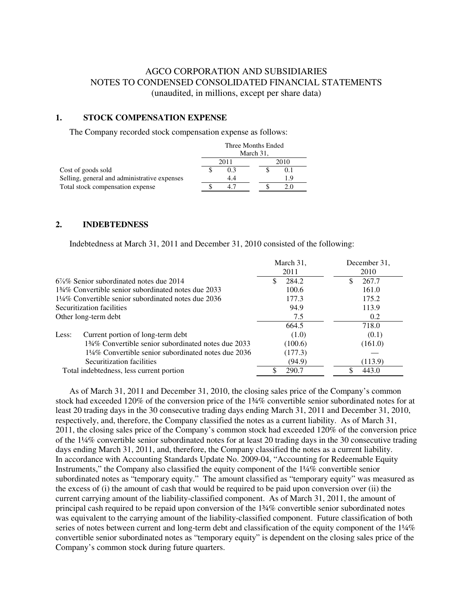### AGCO CORPORATION AND SUBSIDIARIES NOTES TO CONDENSED CONSOLIDATED FINANCIAL STATEMENTS (unaudited, in millions, except per share data)

#### **1. STOCK COMPENSATION EXPENSE**

The Company recorded stock compensation expense as follows:

|                                              | Three Months Ended |      |      |     |  |
|----------------------------------------------|--------------------|------|------|-----|--|
|                                              | March 31,          |      |      |     |  |
|                                              |                    | 2011 | 2010 |     |  |
| Cost of goods sold                           |                    | 0.3  |      | 0.1 |  |
| Selling, general and administrative expenses |                    | 4.4  |      | 1.9 |  |
| Total stock compensation expense             |                    | 4.7  |      |     |  |

#### **2. INDEBTEDNESS**

Indebtedness at March 31, 2011 and December 31, 2010 consisted of the following:

|                                                                 | March 31,   | December 31, |
|-----------------------------------------------------------------|-------------|--------------|
|                                                                 | 2011        | 2010         |
| $6\%$ % Senior subordinated notes due 2014                      | 284.2<br>£. | 267.7        |
| 134\% Convertible senior subordinated notes due 2033            | 100.6       | 161.0        |
| $1\frac{1}{4}\%$ Convertible senior subordinated notes due 2036 | 177.3       | 175.2        |
| Securitization facilities                                       | 94.9        | 113.9        |
| Other long-term debt                                            | 7.5         | 0.2          |
|                                                                 | 664.5       | 718.0        |
| Less:<br>Current portion of long-term debt                      | (1.0)       | (0.1)        |
| 134% Convertible senior subordinated notes due 2033             | (100.6)     | (161.0)      |
| 1¼% Convertible senior subordinated notes due 2036              | (177.3)     |              |
| Securitization facilities                                       | (94.9)      | (113.9)      |
| Total indebtedness, less current portion                        | 290.7       | 443.0        |

 As of March 31, 2011 and December 31, 2010, the closing sales price of the Company's common stock had exceeded 120% of the conversion price of the 1¾% convertible senior subordinated notes for at least 20 trading days in the 30 consecutive trading days ending March 31, 2011 and December 31, 2010, respectively, and, therefore, the Company classified the notes as a current liability. As of March 31, 2011, the closing sales price of the Company's common stock had exceeded 120% of the conversion price of the 1¼% convertible senior subordinated notes for at least 20 trading days in the 30 consecutive trading days ending March 31, 2011, and, therefore, the Company classified the notes as a current liability. In accordance with Accounting Standards Update No. 2009-04, "Accounting for Redeemable Equity Instruments," the Company also classified the equity component of the 1¼% convertible senior subordinated notes as "temporary equity." The amount classified as "temporary equity" was measured as the excess of (i) the amount of cash that would be required to be paid upon conversion over (ii) the current carrying amount of the liability-classified component. As of March 31, 2011, the amount of principal cash required to be repaid upon conversion of the 1¾% convertible senior subordinated notes was equivalent to the carrying amount of the liability-classified component. Future classification of both series of notes between current and long-term debt and classification of the equity component of the 1¼% convertible senior subordinated notes as "temporary equity" is dependent on the closing sales price of the Company's common stock during future quarters.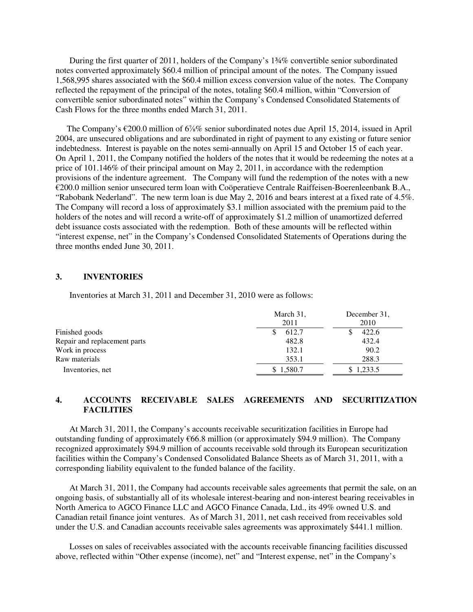During the first quarter of 2011, holders of the Company's 1¾% convertible senior subordinated notes converted approximately \$60.4 million of principal amount of the notes. The Company issued 1,568,995 shares associated with the \$60.4 million excess conversion value of the notes. The Company reflected the repayment of the principal of the notes, totaling \$60.4 million, within "Conversion of convertible senior subordinated notes" within the Company's Condensed Consolidated Statements of Cash Flows for the three months ended March 31, 2011.

 The Company's €200.0 million of 6⅞% senior subordinated notes due April 15, 2014, issued in April 2004, are unsecured obligations and are subordinated in right of payment to any existing or future senior indebtedness. Interest is payable on the notes semi-annually on April 15 and October 15 of each year. On April 1, 2011, the Company notified the holders of the notes that it would be redeeming the notes at a price of 101.146% of their principal amount on May 2, 2011, in accordance with the redemption provisions of the indenture agreement. The Company will fund the redemption of the notes with a new  $\epsilon$ 200.0 million senior unsecured term loan with Coöperatieve Centrale Raiffeisen-Boerenleenbank B.A., "Rabobank Nederland". The new term loan is due May 2, 2016 and bears interest at a fixed rate of 4.5%. The Company will record a loss of approximately \$3.1 million associated with the premium paid to the holders of the notes and will record a write-off of approximately \$1.2 million of unamortized deferred debt issuance costs associated with the redemption. Both of these amounts will be reflected within "interest expense, net" in the Company's Condensed Consolidated Statements of Operations during the three months ended June 30, 2011.

#### **3. INVENTORIES**

Inventories at March 31, 2011 and December 31, 2010 were as follows:

|                              | March 31,<br>2011 | December 31,<br>2010 |
|------------------------------|-------------------|----------------------|
| Finished goods               | 612.7             | 422.6                |
| Repair and replacement parts | 482.8             | 432.4                |
| Work in process              | 132.1             | 90.2                 |
| Raw materials                | 353.1             | 288.3                |
| Inventories, net             | 1,580.7           | 1.233.5              |

### **4. ACCOUNTS RECEIVABLE SALES AGREEMENTS AND SECURITIZATION FACILITIES**

 At March 31, 2011, the Company's accounts receivable securitization facilities in Europe had outstanding funding of approximately €66.8 million (or approximately \$94.9 million). The Company recognized approximately \$94.9 million of accounts receivable sold through its European securitization facilities within the Company's Condensed Consolidated Balance Sheets as of March 31, 2011, with a corresponding liability equivalent to the funded balance of the facility.

At March 31, 2011, the Company had accounts receivable sales agreements that permit the sale, on an ongoing basis, of substantially all of its wholesale interest-bearing and non-interest bearing receivables in North America to AGCO Finance LLC and AGCO Finance Canada, Ltd., its 49% owned U.S. and Canadian retail finance joint ventures. As of March 31, 2011, net cash received from receivables sold under the U.S. and Canadian accounts receivable sales agreements was approximately \$441.1 million.

Losses on sales of receivables associated with the accounts receivable financing facilities discussed above, reflected within "Other expense (income), net" and "Interest expense, net" in the Company's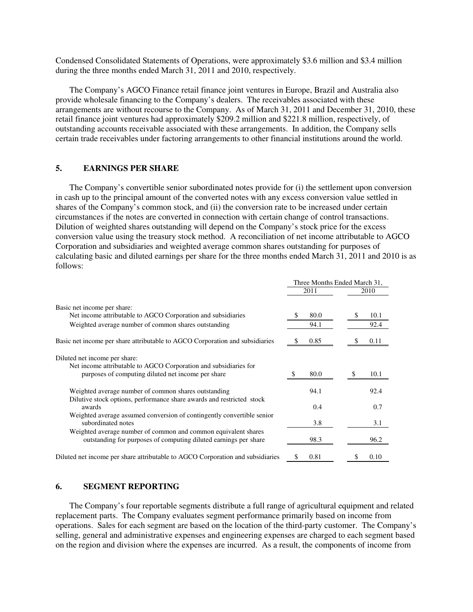Condensed Consolidated Statements of Operations, were approximately \$3.6 million and \$3.4 million during the three months ended March 31, 2011 and 2010, respectively.

The Company's AGCO Finance retail finance joint ventures in Europe, Brazil and Australia also provide wholesale financing to the Company's dealers. The receivables associated with these arrangements are without recourse to the Company. As of March 31, 2011 and December 31, 2010, these retail finance joint ventures had approximately \$209.2 million and \$221.8 million, respectively, of outstanding accounts receivable associated with these arrangements. In addition, the Company sells certain trade receivables under factoring arrangements to other financial institutions around the world.

#### **5. EARNINGS PER SHARE**

The Company's convertible senior subordinated notes provide for (i) the settlement upon conversion in cash up to the principal amount of the converted notes with any excess conversion value settled in shares of the Company's common stock, and (ii) the conversion rate to be increased under certain circumstances if the notes are converted in connection with certain change of control transactions. Dilution of weighted shares outstanding will depend on the Company's stock price for the excess conversion value using the treasury stock method. A reconciliation of net income attributable to AGCO Corporation and subsidiaries and weighted average common shares outstanding for purposes of calculating basic and diluted earnings per share for the three months ended March 31, 2011 and 2010 is as follows:

|                                                                                 | Three Months Ended March 31, |      |  |
|---------------------------------------------------------------------------------|------------------------------|------|--|
|                                                                                 | 2011                         | 2010 |  |
| Basic net income per share:                                                     |                              |      |  |
| Net income attributable to AGCO Corporation and subsidiaries                    | 80.0                         | 10.1 |  |
| Weighted average number of common shares outstanding                            | 94.1                         | 92.4 |  |
| Basic net income per share attributable to AGCO Corporation and subsidiaries    | 0.85                         | 0.11 |  |
| Diluted net income per share:                                                   |                              |      |  |
| Net income attributable to AGCO Corporation and subsidiaries for                |                              |      |  |
| purposes of computing diluted net income per share                              | 80.0                         | 10.1 |  |
| Weighted average number of common shares outstanding                            | 94.1                         | 92.4 |  |
| Dilutive stock options, performance share awards and restricted stock<br>awards | 0.4                          | 0.7  |  |
| Weighted average assumed conversion of contingently convertible senior          |                              |      |  |
| subordinated notes                                                              | 3.8                          | 3.1  |  |
| Weighted average number of common and common equivalent shares                  |                              |      |  |
| outstanding for purposes of computing diluted earnings per share                | 98.3                         | 96.2 |  |
| Diluted net income per share attributable to AGCO Corporation and subsidiaries  | 0.81<br>\$                   | 0.10 |  |

#### **6. SEGMENT REPORTING**

The Company's four reportable segments distribute a full range of agricultural equipment and related replacement parts. The Company evaluates segment performance primarily based on income from operations. Sales for each segment are based on the location of the third-party customer. The Company's selling, general and administrative expenses and engineering expenses are charged to each segment based on the region and division where the expenses are incurred. As a result, the components of income from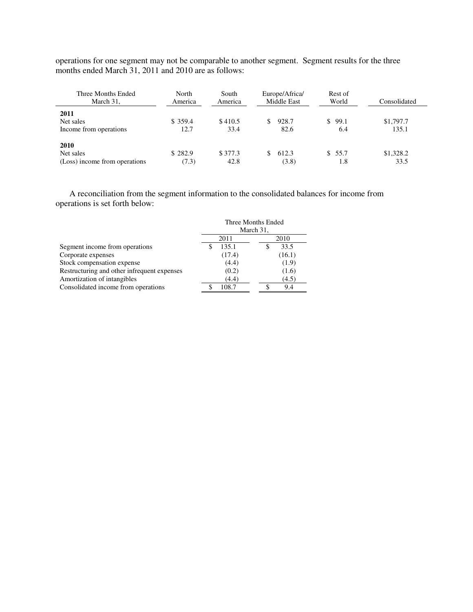operations for one segment may not be comparable to another segment. Segment results for the three months ended March 31, 2011 and 2010 are as follows:

| Three Months Ended<br>March 31, | North<br>America | South<br>America | Europe/Africa/<br>Middle East | Rest of<br>World | Consolidated |
|---------------------------------|------------------|------------------|-------------------------------|------------------|--------------|
| 2011                            |                  |                  |                               |                  |              |
| Net sales                       | \$359.4          | \$410.5          | 928.7                         | \$99.1           | \$1,797.7    |
| Income from operations          | 12.7             | 33.4             | 82.6                          | 6.4              | 135.1        |
| 2010                            |                  |                  |                               |                  |              |
| Net sales                       | \$282.9          | \$377.3          | 612.3                         | \$55.7           | \$1,328.2    |
| (Loss) income from operations   | (7.3)            | 42.8             | (3.8)                         | 1.8              | 33.5         |

A reconciliation from the segment information to the consolidated balances for income from operations is set forth below:

|                                             | Three Months Ended |        |           |        |  |
|---------------------------------------------|--------------------|--------|-----------|--------|--|
|                                             |                    |        | March 31, |        |  |
|                                             |                    | 2011   |           | 2010   |  |
| Segment income from operations              |                    | 135.1  |           | 33.5   |  |
| Corporate expenses                          |                    | (17.4) |           | (16.1) |  |
| Stock compensation expense                  |                    | (4.4)  |           | (1.9)  |  |
| Restructuring and other infrequent expenses |                    | (0.2)  |           | (1.6)  |  |
| Amortization of intangibles                 |                    | (4.4)  |           | (4.5)  |  |
| Consolidated income from operations         |                    | 108.7  |           | 9.4    |  |